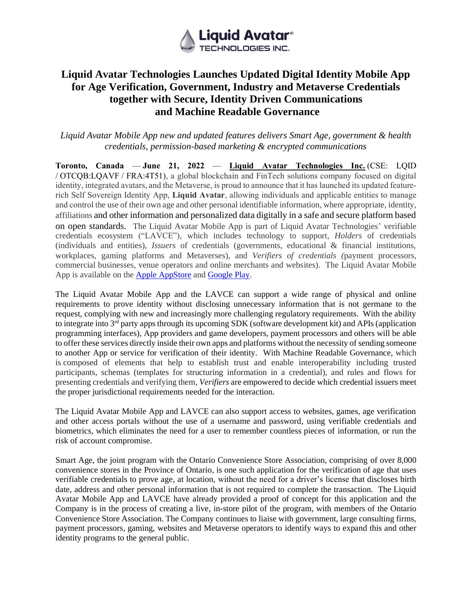

# **Liquid Avatar Technologies Launches Updated Digital Identity Mobile App for Age Verification, Government, Industry and Metaverse Credentials together with Secure, Identity Driven Communications and Machine Readable Governance**

*Liquid Avatar Mobile App new and updated features delivers Smart Age, government & health credentials, permission-based marketing & encrypted communications*

**Toronto, Canada** — **June 21, 2022** — **[Liquid Avatar Technologies Inc.](http://www.liquidavatartechnologies.com/)** (CSE: LQID / OTCQB:LQAVF / FRA:4T51), a global blockchain and FinTech solutions company focused on digital identity, integrated avatars, and the Metaverse, is proud to announce that it has launched its updated featurerich Self Sovereign Identity App, **Liquid Avatar**, allowing individuals and applicable entities to manage and control the use of their own age and other personal identifiable information, where appropriate, identity, affiliations and other information and personalized data digitally in a safe and secure platform based on open standards. The Liquid Avatar Mobile App is part of Liquid Avatar Technologies' verifiable credentials ecosystem ("LAVCE"), which includes technology to support, *Holders* of credentials (individuals and entities), *Issuers* of credentials (governments, educational & financial institutions, workplaces, gaming platforms and Metaverses), and *Verifiers of credentials (*payment processors, commercial businesses, venue operators and online merchants and websites). The Liquid Avatar Mobile App is available on the [Apple AppStore](https://apps.apple.com/ca/app/liquid-avatar-digital-id/id1519895044?platform=iphone) and [Google Play.](https://play.google.com/store/apps/details?id=com.kabnnetwork.liquidavatar&hl=en_CA&gl=US)

The Liquid Avatar Mobile App and the LAVCE can support a wide range of physical and online requirements to prove identity without disclosing unnecessary information that is not germane to the request, complying with new and increasingly more challenging regulatory requirements. With the ability to integrate into  $3<sup>rd</sup>$  party apps through its upcoming SDK (software development kit) and APIs (application programming interfaces), App providers and game developers, payment processors and others will be able to offer these services directly inside their own apps and platforms without the necessity of sending someone to another App or service for verification of their identity. With Machine Readable Governance, which is composed of elements that help to establish trust and enable interoperability including trusted participants, schemas (templates for structuring information in a credential), and rules and flows for presenting credentials and verifying them, *Verifiers* are empowered to decide which credential issuers meet the proper jurisdictional requirements needed for the interaction.

The Liquid Avatar Mobile App and LAVCE can also support access to websites, games, age verification and other access portals without the use of a username and password, using verifiable credentials and biometrics, which eliminates the need for a user to remember countless pieces of information, or run the risk of account compromise.

Smart Age, the joint program with the Ontario Convenience Store Association, comprising of over 8,000 convenience stores in the Province of Ontario, is one such application for the verification of age that uses verifiable credentials to prove age, at location, without the need for a driver's license that discloses birth date, address and other personal information that is not required to complete the transaction. The Liquid Avatar Mobile App and LAVCE have already provided a proof of concept for this application and the Company is in the process of creating a live, in-store pilot of the program, with members of the Ontario Convenience Store Association. The Company continues to liaise with government, large consulting firms, payment processors, gaming, websites and Metaverse operators to identify ways to expand this and other identity programs to the general public.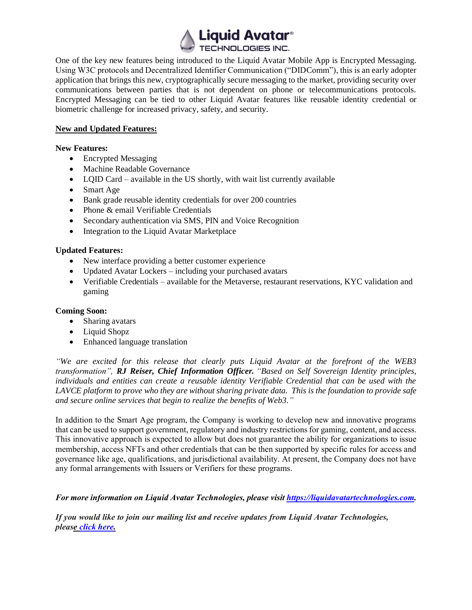

One of the key new features being introduced to the Liquid Avatar Mobile App is Encrypted Messaging. Using W3C protocols and Decentralized Identifier Communication ("DIDComm"), this is an early adopter application that brings this new, cryptographically secure messaging to the market, providing security over communications between parties that is not dependent on phone or telecommunications protocols. Encrypted Messaging can be tied to other Liquid Avatar features like reusable identity credential or biometric challenge for increased privacy, safety, and security.

### **New and Updated Features:**

### **New Features:**

- Encrypted Messaging
- Machine Readable Governance
- LQID Card available in the US shortly, with wait list currently available
- Smart Age
- Bank grade reusable identity credentials for over 200 countries
- Phone & email Verifiable Credentials
- Secondary authentication via SMS, PIN and Voice Recognition
- Integration to the Liquid Avatar Marketplace

# **Updated Features:**

- New interface providing a better customer experience
- Updated Avatar Lockers including your purchased avatars
- Verifiable Credentials available for the Metaverse, restaurant reservations, KYC validation and gaming

# **Coming Soon:**

- Sharing avatars
- Liquid Shopz
- Enhanced language translation

*"We are excited for this release that clearly puts Liquid Avatar at the forefront of the WEB3 transformation", RJ Reiser, Chief Information Officer. "Based on Self Sovereign Identity principles, individuals and entities can create a reusable identity Verifiable Credential that can be used with the LAVCE platform to prove who they are without sharing private data. This is the foundation to provide safe and secure online services that begin to realize the benefits of Web3."*

In addition to the Smart Age program, the Company is working to develop new and innovative programs that can be used to support government, regulatory and industry restrictions for gaming, content, and access. This innovative approach is expected to allow but does not guarantee the ability for organizations to issue membership, access NFTs and other credentials that can be then supported by specific rules for access and governance like age, qualifications, and jurisdictional availability. At present, the Company does not have any formal arrangements with Issuers or Verifiers for these programs.

*For more information on Liquid Avatar Technologies, please visit [https://liquidavatartechnologies.com.](https://liquidavatartechnologies.com/)*

*If you would like to join our mailing list and receive updates from Liquid Avatar Technologies, please [click here.](https://hello.liquidavatar.com/liquid-avatar-updates)*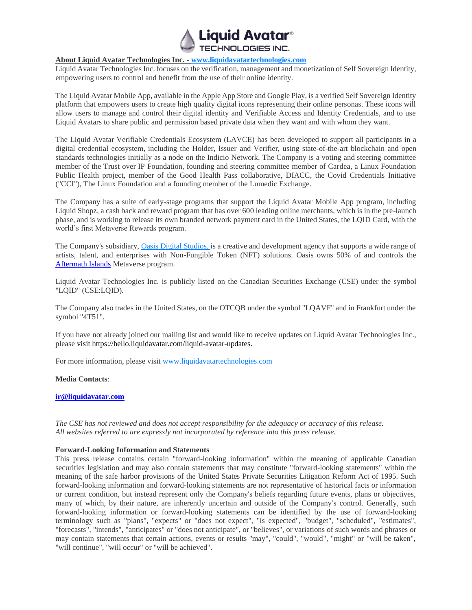

#### **About Liquid Avatar Technologies Inc. - [www.liquidavatartechnologies.com](http://www.liquidavatartechnologies.com/)**

Liquid Avatar Technologies Inc. focuses on the verification, management and monetization of Self Sovereign Identity, empowering users to control and benefit from the use of their online identity.

The Liquid Avatar Mobile App, available in the Apple App Store and Google Play, is a verified Self Sovereign Identity platform that empowers users to create high quality digital icons representing their online personas. These icons will allow users to manage and control their digital identity and Verifiable Access and Identity Credentials, and to use Liquid Avatars to share public and permission based private data when they want and with whom they want.

The Liquid Avatar Verifiable Credentials Ecosystem (LAVCE) has been developed to support all participants in a digital credential ecosystem, including the Holder, Issuer and Verifier, using state-of-the-art blockchain and open standards technologies initially as a node on the Indicio Network. The Company is a voting and steering committee member of the Trust over IP Foundation, founding and steering committee member of Cardea, a Linux Foundation Public Health project, member of the Good Health Pass collaborative, DIACC, the Covid Credentials Initiative ("CCI"), The Linux Foundation and a founding member of the Lumedic Exchange.

The Company has a suite of early-stage programs that support the Liquid Avatar Mobile App program, including Liquid Shopz, a cash back and reward program that has over 600 leading online merchants, which is in the pre-launch phase, and is working to release its own branded network payment card in the United States, the LQID Card, with the world's first Metaverse Rewards program.

The Company's subsidiary, [Oasis Digital Studios, i](https://oasisdigitalstudios.com/)s a creative and development agency that supports a wide range of artists, talent, and enterprises with Non-Fungible Token (NFT) solutions. Oasis owns 50% of and controls the [Aftermath Islands](https://aftermathislands.com/) Metaverse program.

Liquid Avatar Technologies Inc. is publicly listed on the Canadian Securities Exchange (CSE) under the symbol "LQID" (CSE:LQID).

The Company also trades in the United States, on the OTCQB under the symbol "LQAVF" and in Frankfurt under the symbol "4T51".

If you have not already joined our mailing list and would like to receive updates on Liquid Avatar Technologies Inc., please visit https://hello.liquidavatar.com/liquid-avatar-updates.

For more information, please visit [www.liquidavatartechnologies.com](http://www.liquidavatartechnologies.com/)

#### **Media Contacts**:

#### **[ir@liquidavatar.com](mailto:ir@liquidavatar.com)**

*The CSE has not reviewed and does not accept responsibility for the adequacy or accuracy of this release. All websites referred to are expressly not incorporated by reference into this press release.*

#### **Forward-Looking Information and Statements**

This press release contains certain "forward-looking information" within the meaning of applicable Canadian securities legislation and may also contain statements that may constitute "forward-looking statements" within the meaning of the safe harbor provisions of the United States Private Securities Litigation Reform Act of 1995. Such forward-looking information and forward-looking statements are not representative of historical facts or information or current condition, but instead represent only the Company's beliefs regarding future events, plans or objectives, many of which, by their nature, are inherently uncertain and outside of the Company's control. Generally, such forward-looking information or forward-looking statements can be identified by the use of forward-looking terminology such as "plans", "expects" or "does not expect", "is expected", "budget", "scheduled", "estimates", "forecasts", "intends", "anticipates" or "does not anticipate", or "believes", or variations of such words and phrases or may contain statements that certain actions, events or results "may", "could", "would", "might" or "will be taken", "will continue", "will occur" or "will be achieved".